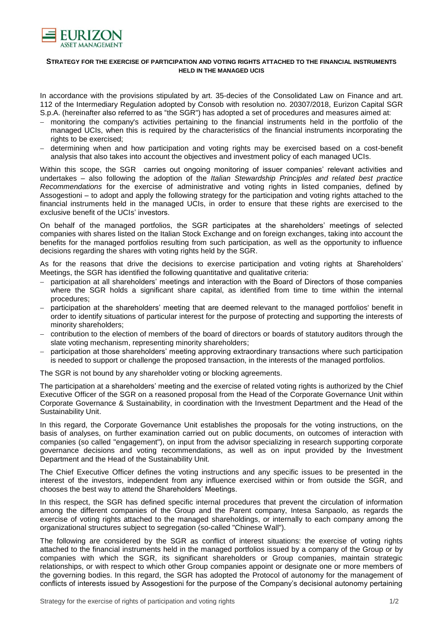

## **STRATEGY FOR THE EXERCISE OF PARTICIPATION AND VOTING RIGHTS ATTACHED TO THE FINANCIAL INSTRUMENTS HELD IN THE MANAGED UCIS**

In accordance with the provisions stipulated by art. 35-decies of the Consolidated Law on Finance and art. 112 of the Intermediary Regulation adopted by Consob with resolution no. 20307/2018, Eurizon Capital SGR S.p.A. (hereinafter also referred to as "the SGR") has adopted a set of procedures and measures aimed at:

- − monitoring the company's activities pertaining to the financial instruments held in the portfolio of the managed UCIs, when this is required by the characteristics of the financial instruments incorporating the rights to be exercised;
- − determining when and how participation and voting rights may be exercised based on a cost-benefit analysis that also takes into account the objectives and investment policy of each managed UCIs.

Within this scope, the SGR carries out ongoing monitoring of issuer companies' relevant activities and undertakes – also following the adoption of the *Italian Stewardship Principles and related best practice Recommendations* for the exercise of administrative and voting rights in listed companies, defined by Assogestioni – to adopt and apply the following strategy for the participation and voting rights attached to the financial instruments held in the managed UCIs, in order to ensure that these rights are exercised to the exclusive benefit of the UCIs' investors.

On behalf of the managed portfolios, the SGR participates at the shareholders' meetings of selected companies with shares listed on the Italian Stock Exchange and on foreign exchanges, taking into account the benefits for the managed portfolios resulting from such participation, as well as the opportunity to influence decisions regarding the shares with voting rights held by the SGR.

As for the reasons that drive the decisions to exercise participation and voting rights at Shareholders' Meetings, the SGR has identified the following quantitative and qualitative criteria:

- − participation at all shareholders' meetings and interaction with the Board of Directors of those companies where the SGR holds a significant share capital, as identified from time to time within the internal procedures;
- participation at the shareholders' meeting that are deemed relevant to the managed portfolios' benefit in order to identify situations of particular interest for the purpose of protecting and supporting the interests of minority shareholders;
- − contribution to the election of members of the board of directors or boards of statutory auditors through the slate voting mechanism, representing minority shareholders;
- − participation at those shareholders' meeting approving extraordinary transactions where such participation is needed to support or challenge the proposed transaction, in the interests of the managed portfolios.

The SGR is not bound by any shareholder voting or blocking agreements.

The participation at a shareholders' meeting and the exercise of related voting rights is authorized by the Chief Executive Officer of the SGR on a reasoned proposal from the Head of the Corporate Governance Unit within Corporate Governance & Sustainability, in coordination with the Investment Department and the Head of the Sustainability Unit.

In this regard, the Corporate Governance Unit establishes the proposals for the voting instructions, on the basis of analyses, on further examination carried out on public documents, on outcomes of interaction with companies (so called "engagement"), on input from the advisor specializing in research supporting corporate governance decisions and voting recommendations, as well as on input provided by the Investment Department and the Head of the Sustainability Unit.

The Chief Executive Officer defines the voting instructions and any specific issues to be presented in the interest of the investors, independent from any influence exercised within or from outside the SGR, and chooses the best way to attend the Shareholders' Meetings.

In this respect, the SGR has defined specific internal procedures that prevent the circulation of information among the different companies of the Group and the Parent company, Intesa Sanpaolo, as regards the exercise of voting rights attached to the managed shareholdings, or internally to each company among the organizational structures subject to segregation (so-called "Chinese Wall").

The following are considered by the SGR as conflict of interest situations: the exercise of voting rights attached to the financial instruments held in the managed portfolios issued by a company of the Group or by companies with which the SGR, its significant shareholders or Group companies, maintain strategic relationships, or with respect to which other Group companies appoint or designate one or more members of the governing bodies. In this regard, the SGR has adopted the Protocol of autonomy for the management of conflicts of interests issued by Assogestioni for the purpose of the Company's decisional autonomy pertaining